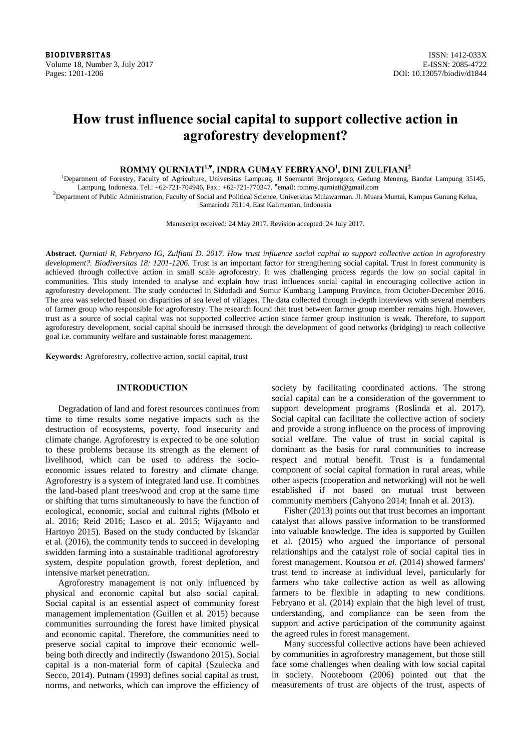**BIODIVERSITAS** ISSN: 1412-033X Volume 18, Number 3, July 2017 E-ISSN: 2085-4722 Pages: 1201-1206 DOI: 10.13057/biodiv/d1844

# **How trust influence social capital to support collective action in agroforestry development?**

**ROMMY QURNIATI1,♥ , INDRA GUMAY FEBRYANO1 , DINI ZULFIANI2** 

<sup>1</sup>Department of Forestry, Faculty of Agriculture, Universitas Lampung. Jl Soemantri Brojonegoro, Gedung Meneng, Bandar Lampung 35145, Lampung, Indonesia. Tel.: +62-721-704946, Fax.: +62-721-770347. ♥email: rommy.qurniati@gmail.com 2

 $<sup>2</sup>D$ epartment of Public Administration, Faculty of Social and Political Science, Universitas Mulawarman. Jl. Muara Muntai, Kampus Gunung Kelua,</sup> Samarinda 75114, East Kalimantan, Indonesia

Manuscript received: 24 May 2017. Revision accepted: 24 July 2017.

**Abstract.** *Qurniati R, Febryano IG, Zulfiani D. 2017. How trust influence social capital to support collective action in agroforestry development?. Biodiversitas 18: 1201-1206.* Trust is an important factor for strengthening social capital. Trust in forest community is achieved through collective action in small scale agroforestry. It was challenging process regards the low on social capital in communities. This study intended to analyse and explain how trust influences social capital in encouraging collective action in agroforestry development. The study conducted in Sidodadi and Sumur Kumbang Lampung Province, from October-December 2016. The area was selected based on disparities of sea level of villages. The data collected through in-depth interviews with several members of farmer group who responsible for agroforestry. The research found that trust between farmer group member remains high. However, trust as a source of social capital was not supported collective action since farmer group institution is weak. Therefore, to support agroforestry development, social capital should be increased through the development of good networks (bridging) to reach collective goal i.e. community welfare and sustainable forest management.

**Keywords:** Agroforestry, collective action, social capital, trust

# **INTRODUCTION**

Degradation of land and forest resources continues from time to time results some negative impacts such as the destruction of ecosystems, poverty, food insecurity and climate change. Agroforestry is expected to be one solution to these problems because its strength as the element of livelihood, which can be used to address the socioeconomic issues related to forestry and climate change. Agroforestry is a system of integrated land use. It combines the land-based plant trees/wood and crop at the same time or shifting that turns simultaneously to have the function of ecological, economic, social and cultural rights (Mbolo et al. 2016; Reid 2016; Lasco et al. 2015; Wijayanto and Hartoyo 2015). Based on the study conducted by Iskandar et al. (2016), the community tends to succeed in developing swidden farming into a sustainable traditional agroforestry system, despite population growth, forest depletion, and intensive market penetration.

Agroforestry management is not only influenced by physical and economic capital but also social capital. Social capital is an essential aspect of community forest management implementation (Guillen et al. 2015) because communities surrounding the forest have limited physical and economic capital. Therefore, the communities need to preserve social capital to improve their economic wellbeing both directly and indirectly (Iswandono 2015). Social capital is a non-material form of capital (Szulecka and Secco, 2014). Putnam (1993) defines social capital as trust, norms, and networks, which can improve the efficiency of

society by facilitating coordinated actions. The strong social capital can be a consideration of the government to support development programs (Roslinda et al. 2017). Social capital can facilitate the collective action of society and provide a strong influence on the process of improving social welfare. The value of trust in social capital is dominant as the basis for rural communities to increase respect and mutual benefit. Trust is a fundamental component of social capital formation in rural areas, while other aspects (cooperation and networking) will not be well established if not based on mutual trust between community members (Cahyono 2014; Innah et al. 2013).

Fisher (2013) points out that trust becomes an important catalyst that allows passive information to be transformed into valuable knowledge. The idea is supported by Guillen et al. (2015) who argued the importance of personal relationships and the catalyst role of social capital ties in forest management. Koutsou *et al*. (2014) showed farmers' trust tend to increase at individual level, particularly for farmers who take collective action as well as allowing farmers to be flexible in adapting to new conditions. Febryano et al. (2014) explain that the high level of trust, understanding, and compliance can be seen from the support and active participation of the community against the agreed rules in forest management.

Many successful collective actions have been achieved by communities in agroforestry management, but those still face some challenges when dealing with low social capital in society. Nooteboom (2006) pointed out that the measurements of trust are objects of the trust, aspects of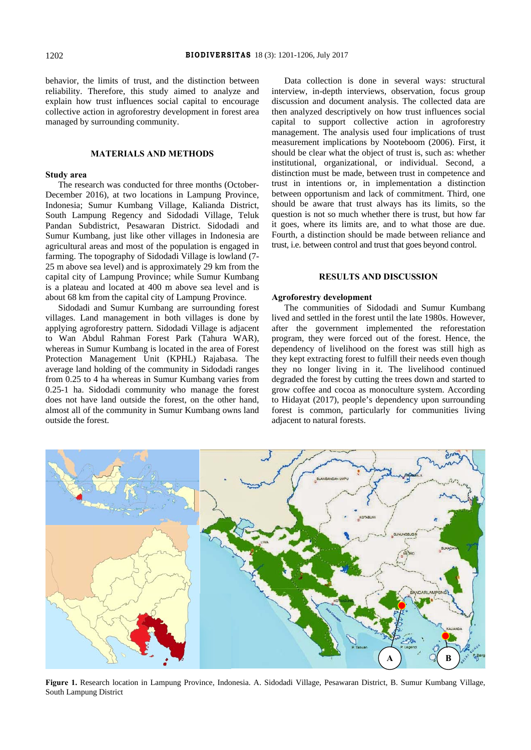behavior, the limits of trust, and the distinction between reliability. Therefore, this study aimed to analyze and explain how trust influences social capital to encourage collective action in agroforestry development in forest area managed by surrounding community.

# **MATERIALS AND METHODS**

## **Study area**

The research was conducted for three months (October-December 2016), at two locations in Lampung Province, Indonesia; Sumur Kumbang Village, Kalianda District, South Lampung Regency and Sidodadi Village, Teluk Pandan Subdistrict, Pesawaran District. Sidodadi and Sumur Kumbang, just like other villages in Indonesia are agricultural areas and most of the population is engaged in farming. The topography of Sidodadi Village is lowland (7- 25 m above sea level) and is approximately 29 km from the capital city of Lampung Province; while Sumur Kumbang is a plateau and located at 400 m above sea level and is about 68 km from the capital city of Lampung Province.

Sidodadi and Sumur Kumbang are surrounding forest villages. Land management in both villages is done by applying agroforestry pattern. Sidodadi Village is adjacent to Wan Abdul Rahman Forest Park (Tahura WAR), whereas in Sumur Kumbang is located in the area of Forest Protection Management Unit (KPHL) Rajabasa. The average land holding of the community in Sidodadi ranges from 0.25 to 4 ha whereas in Sumur Kumbang varies from 0.25-1 ha. Sidodadi community who manage the forest does not have land outside the forest, on the other hand, almost all of the community in Sumur Kumbang owns land outside the forest.

Data collection is done in several ways: structural interview, in-depth interviews, observation, focus group discussion and document analysis. The collected data are then analyzed descriptively on how trust influences social capital to support collective action in agroforestry management. The analysis used four implications of trust measurement implications by Nooteboom (2006). First, it should be clear what the object of trust is, such as: whether institutional, organizational, or individual. Second, a distinction must be made, between trust in competence and trust in intentions or, in implementation a distinction between opportunism and lack of commitment. Third, one should be aware that trust always has its limits, so the question is not so much whether there is trust, but how far it goes, where its limits are, and to what those are due. Fourth, a distinction should be made between reliance and trust, i.e. between control and trust that goes beyond control.

# **RESULTS AND DISCUSSION**

## **Agroforestry development**

The communities of Sidodadi and Sumur Kumbang lived and settled in the forest until the late 1980s. However, after the government implemented the reforestation program, they were forced out of the forest. Hence, the dependency of livelihood on the forest was still high as they kept extracting forest to fulfill their needs even though they no longer living in it. The livelihood continued degraded the forest by cutting the trees down and started to grow coffee and cocoa as monoculture system. According to Hidayat (2017), people's dependency upon surrounding forest is common, particularly for communities living adjacent to natural forests.



**Figure 1.** Research location in Lampung Province, Indonesia. A. Sidodadi Village, Pesawaran District, B. Sumur Kumbang Village, South Lampung District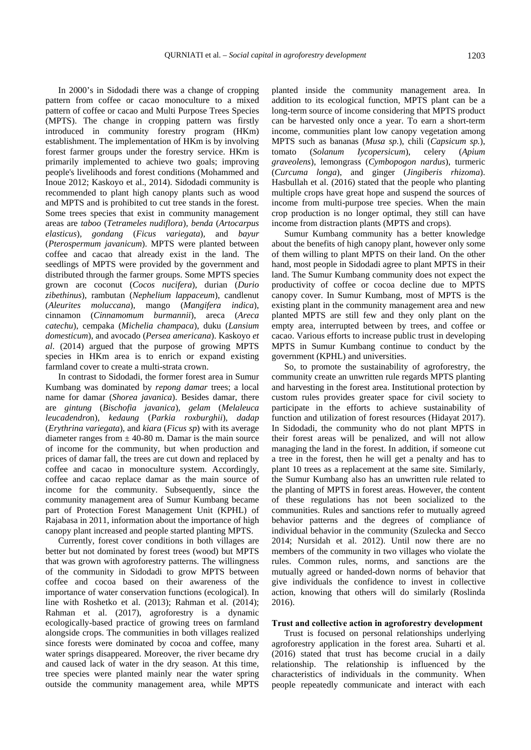In 2000's in Sidodadi there was a change of cropping pattern from coffee or cacao monoculture to a mixed pattern of coffee or cacao and Multi Purpose Trees Species (MPTS). The change in cropping pattern was firstly introduced in community forestry program (HKm) establishment. The implementation of HKm is by involving forest farmer groups under the forestry service. HKm is primarily implemented to achieve two goals; improving people's livelihoods and forest conditions (Mohammed and Inoue 2012; Kaskoyo et al., 2014). Sidodadi community is recommended to plant high canopy plants such as wood and MPTS and is prohibited to cut tree stands in the forest. Some trees species that exist in community management areas are *taboo* (*Tetrameles nudiflora*)*, benda* (*Artocarpus elasticus*)*, gondang* (*Ficus variegata*)*,* and *bayur*  (*Pterospermum javanicum*). MPTS were planted between coffee and cacao that already exist in the land. The seedlings of MPTS were provided by the government and distributed through the farmer groups. Some MPTS species grown are coconut (*Cocos nucifera*), durian (*Durio zibethinus*), rambutan (*Nephelium lappaceum*), candlenut (*Aleurites moluccana*), mango (*Mangifera indica*), cinnamon (*Cinnamomum burmannii*), areca (*Areca catechu*), cempaka (*Michelia champaca*), duku (*Lansium domesticum*), and avocado (*Persea americana*). Kaskoyo *et al*. (2014) argued that the purpose of growing MPTS species in HKm area is to enrich or expand existing farmland cover to create a multi-strata crown.

In contrast to Sidodadi, the former forest area in Sumur Kumbang was dominated by *repong damar* trees; a local name for damar (*Shorea javanica*). Besides damar, there are *gintung* (*Bischofia javanica*)*, gelam* (*Melaleuca leucadendro*n)*, kedaung* (*Parkia roxburghii*)*, dadap*  (*Erythrina variegata*)*,* and *kiara* (*Ficus sp*) with its average diameter ranges from  $\pm$  40-80 m. Damar is the main source of income for the community, but when production and prices of damar fall, the trees are cut down and replaced by coffee and cacao in monoculture system. Accordingly, coffee and cacao replace damar as the main source of income for the community. Subsequently, since the community management area of Sumur Kumbang became part of Protection Forest Management Unit (KPHL) of Rajabasa in 2011, information about the importance of high canopy plant increased and people started planting MPTS.

Currently, forest cover conditions in both villages are better but not dominated by forest trees (wood) but MPTS that was grown with agroforestry patterns. The willingness of the community in Sidodadi to grow MPTS between coffee and cocoa based on their awareness of the importance of water conservation functions (ecological). In line with Roshetko et al. (2013); Rahman et al. (2014); Rahman et al. (2017), agroforestry is a dynamic ecologically-based practice of growing trees on farmland alongside crops. The communities in both villages realized since forests were dominated by cocoa and coffee, many water springs disappeared. Moreover, the river became dry and caused lack of water in the dry season. At this time, tree species were planted mainly near the water spring outside the community management area, while MPTS

planted inside the community management area. In addition to its ecological function, MPTS plant can be a long-term source of income considering that MPTS product can be harvested only once a year. To earn a short-term income, communities plant low canopy vegetation among MPTS such as bananas (*Musa sp.*), chili (*Capsicum sp.*), tomato (*Solanum Iycopersicum*), celery (*Apium graveolens*), lemongrass (*Cymbopogon nardus*), turmeric (*Curcuma longa*), and ginger (*Jingiberis rhizoma*). Hasbullah et al. (2016) stated that the people who planting multiple crops have great hope and suspend the sources of income from multi-purpose tree species. When the main crop production is no longer optimal, they still can have income from distraction plants (MPTS and crops).

Sumur Kumbang community has a better knowledge about the benefits of high canopy plant, however only some of them willing to plant MPTS on their land. On the other hand, most people in Sidodadi agree to plant MPTS in their land. The Sumur Kumbang community does not expect the productivity of coffee or cocoa decline due to MPTS canopy cover. In Sumur Kumbang, most of MPTS is the existing plant in the community management area and new planted MPTS are still few and they only plant on the empty area, interrupted between by trees, and coffee or cacao. Various efforts to increase public trust in developing MPTS in Sumur Kumbang continue to conduct by the government (KPHL) and universities.

So, to promote the sustainability of agroforestry, the community create an unwritten rule regards MPTS planting and harvesting in the forest area. Institutional protection by custom rules provides greater space for civil society to participate in the efforts to achieve sustainability of function and utilization of forest resources (Hidayat 2017). In Sidodadi, the community who do not plant MPTS in their forest areas will be penalized, and will not allow managing the land in the forest. In addition, if someone cut a tree in the forest, then he will get a penalty and has to plant 10 trees as a replacement at the same site. Similarly, the Sumur Kumbang also has an unwritten rule related to the planting of MPTS in forest areas. However, the content of these regulations has not been socialized to the communities. Rules and sanctions refer to mutually agreed behavior patterns and the degrees of compliance of individual behavior in the community (Szulecka and Secco 2014; Nursidah et al. 2012). Until now there are no members of the community in two villages who violate the rules. Common rules, norms, and sanctions are the mutually agreed or handed-down norms of behavior that give individuals the confidence to invest in collective action, knowing that others will do similarly (Roslinda 2016).

#### **Trust and collective action in agroforestry development**

Trust is focused on personal relationships underlying agroforestry application in the forest area. Suharti et al. (2016) stated that trust has become crucial in a daily relationship. The relationship is influenced by the characteristics of individuals in the community. When people repeatedly communicate and interact with each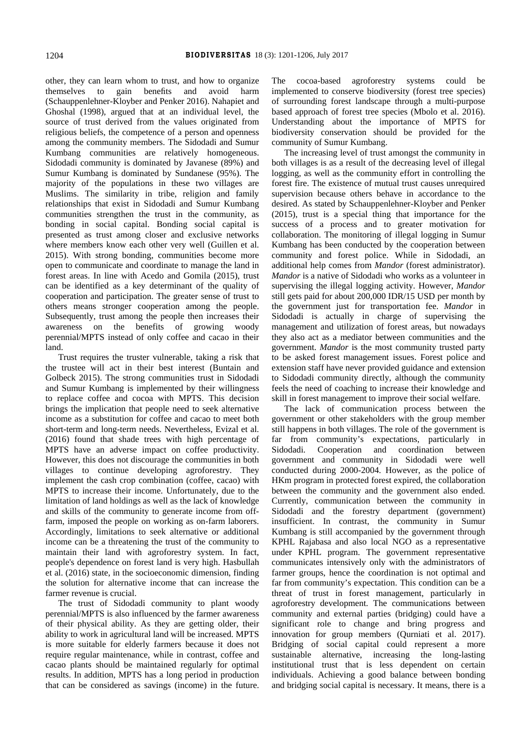other, they can learn whom to trust, and how to organize themselves to gain benefits and avoid harm (Schauppenlehner-Kloyber and Penker 2016). Nahapiet and Ghoshal (1998), argued that at an individual level, the source of trust derived from the values originated from religious beliefs, the competence of a person and openness among the community members. The Sidodadi and Sumur Kumbang communities are relatively homogeneous. Sidodadi community is dominated by Javanese (89%) and Sumur Kumbang is dominated by Sundanese (95%). The majority of the populations in these two villages are Muslims. The similarity in tribe, religion and family relationships that exist in Sidodadi and Sumur Kumbang communities strengthen the trust in the community, as bonding in social capital. Bonding social capital is presented as trust among closer and exclusive networks where members know each other very well (Guillen et al. 2015). With strong bonding, communities become more open to communicate and coordinate to manage the land in forest areas. In line with Acedo and Gomila (2015), trust can be identified as a key determinant of the quality of cooperation and participation. The greater sense of trust to others means stronger cooperation among the people. Subsequently, trust among the people then increases their awareness on the benefits of growing woody perennial/MPTS instead of only coffee and cacao in their land.

Trust requires the truster vulnerable, taking a risk that the trustee will act in their best interest (Buntain and Golbeck 2015). The strong communities trust in Sidodadi and Sumur Kumbang is implemented by their willingness to replace coffee and cocoa with MPTS. This decision brings the implication that people need to seek alternative income as a substitution for coffee and cacao to meet both short-term and long-term needs. Nevertheless, Evizal et al. (2016) found that shade trees with high percentage of MPTS have an adverse impact on coffee productivity. However, this does not discourage the communities in both villages to continue developing agroforestry. They implement the cash crop combination (coffee, cacao) with MPTS to increase their income. Unfortunately, due to the limitation of land holdings as well as the lack of knowledge and skills of the community to generate income from offfarm, imposed the people on working as on-farm laborers. Accordingly, limitations to seek alternative or additional income can be a threatening the trust of the community to maintain their land with agroforestry system. In fact, people's dependence on forest land is very high. Hasbullah et al. (2016) state, in the socioeconomic dimension, finding the solution for alternative income that can increase the farmer revenue is crucial.

The trust of Sidodadi community to plant woody perennial/MPTS is also influenced by the farmer awareness of their physical ability. As they are getting older, their ability to work in agricultural land will be increased. MPTS is more suitable for elderly farmers because it does not require regular maintenance, while in contrast, coffee and cacao plants should be maintained regularly for optimal results. In addition, MPTS has a long period in production that can be considered as savings (income) in the future. The cocoa-based agroforestry systems could be implemented to conserve biodiversity (forest tree species) of surrounding forest landscape through a multi-purpose based approach of forest tree species (Mbolo et al. 2016). Understanding about the importance of MPTS for biodiversity conservation should be provided for the community of Sumur Kumbang.

The increasing level of trust amongst the community in both villages is as a result of the decreasing level of illegal logging, as well as the community effort in controlling the forest fire. The existence of mutual trust causes unrequired supervision because others behave in accordance to the desired. As stated by Schauppenlehner-Kloyber and Penker (2015), trust is a special thing that importance for the success of a process and to greater motivation for collaboration. The monitoring of illegal logging in Sumur Kumbang has been conducted by the cooperation between community and forest police. While in Sidodadi, an additional help comes from *Mandor* (forest administrator). *Mandor* is a native of Sidodadi who works as a volunteer in supervising the illegal logging activity. However, *Mandor* still gets paid for about 200,000 IDR/15 USD per month by the government just for transportation fee. *Mandor* in Sidodadi is actually in charge of supervising the management and utilization of forest areas, but nowadays they also act as a mediator between communities and the government. *Mandor* is the most community trusted party to be asked forest management issues. Forest police and extension staff have never provided guidance and extension to Sidodadi community directly, although the community feels the need of coaching to increase their knowledge and skill in forest management to improve their social welfare.

The lack of communication process between the government or other stakeholders with the group member still happens in both villages. The role of the government is far from community's expectations, particularly in Sidodadi. Cooperation and coordination between government and community in Sidodadi were well conducted during 2000-2004. However, as the police of HKm program in protected forest expired, the collaboration between the community and the government also ended. Currently, communication between the community in Sidodadi and the forestry department (government) insufficient. In contrast, the community in Sumur Kumbang is still accompanied by the government through KPHL Rajabasa and also local NGO as a representative under KPHL program. The government representative communicates intensively only with the administrators of farmer groups, hence the coordination is not optimal and far from community's expectation. This condition can be a threat of trust in forest management, particularly in agroforestry development. The communications between community and external parties (bridging) could have a significant role to change and bring progress and innovation for group members (Qurniati et al. 2017). Bridging of social capital could represent a more sustainable alternative, increasing the long-lasting institutional trust that is less dependent on certain individuals. Achieving a good balance between bonding and bridging social capital is necessary. It means, there is a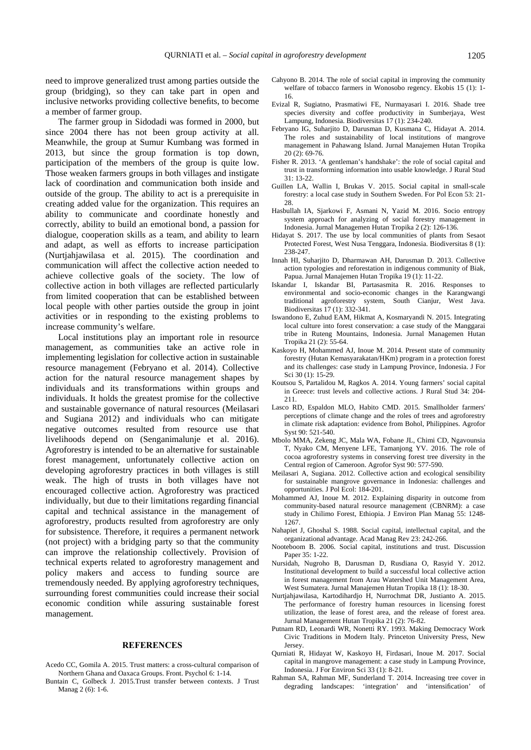need to improve generalized trust among parties outside the group (bridging), so they can take part in open and inclusive networks providing collective benefits, to become a member of farmer group.

The farmer group in Sidodadi was formed in 2000, but since 2004 there has not been group activity at all. Meanwhile, the group at Sumur Kumbang was formed in 2013, but since the group formation is top down, participation of the members of the group is quite low. Those weaken farmers groups in both villages and instigate lack of coordination and communication both inside and outside of the group. The ability to act is a prerequisite in creating added value for the organization. This requires an ability to communicate and coordinate honestly and correctly, ability to build an emotional bond, a passion for dialogue, cooperation skills as a team, and ability to learn and adapt, as well as efforts to increase participation (Nurtjahjawilasa et al. 2015). The coordination and communication will affect the collective action needed to achieve collective goals of the society. The low of collective action in both villages are reflected particularly from limited cooperation that can be established between local people with other parties outside the group in joint activities or in responding to the existing problems to increase community's welfare.

Local institutions play an important role in resource management, as communities take an active role in implementing legislation for collective action in sustainable resource management (Febryano et al. 2014). Collective action for the natural resource management shapes by individuals and its transformations within groups and individuals. It holds the greatest promise for the collective and sustainable governance of natural resources (Meilasari and Sugiana 2012) and individuals who can mitigate negative outcomes resulted from resource use that livelihoods depend on (Senganimalunje et al. 2016). Agroforestry is intended to be an alternative for sustainable forest management, unfortunately collective action on developing agroforestry practices in both villages is still weak. The high of trusts in both villages have not encouraged collective action. Agroforestry was practiced individually, but due to their limitations regarding financial capital and technical assistance in the management of agroforestry, products resulted from agroforestry are only for subsistence. Therefore, it requires a permanent network (not project) with a bridging party so that the community can improve the relationship collectively. Provision of technical experts related to agroforestry management and policy makers and access to funding source are tremendously needed. By applying agroforestry techniques, surrounding forest communities could increase their social economic condition while assuring sustainable forest management.

#### **REFERENCES**

- Acedo CC, Gomila A. 2015. Trust matters: a cross-cultural comparison of Northern Ghana and Oaxaca Groups. Front. Psychol 6: 1-14.
- Buntain C, Golbeck J. 2015.Trust transfer between contexts. J Trust Manag 2 (6): 1-6.
- Cahyono B. 2014. The role of social capital in improving the community welfare of tobacco farmers in Wonosobo regency. Ekobis 15 (1): 1- 16.
- Evizal R, Sugiatno, Prasmatiwi FE, Nurmayasari I. 2016. Shade tree species diversity and coffee productivity in Sumberjaya, West Lampung, Indonesia. Biodiversitas 17 (1): 234-240.
- Febryano IG, Suharjito D, Darusman D, Kusmana C, Hidayat A. 2014. The roles and sustainability of local institutions of mangrove management in Pahawang Island. Jurnal Manajemen Hutan Tropika 20 (2): 69-76.
- Fisher R. 2013. 'A gentleman's handshake': the role of social capital and trust in transforming information into usable knowledge. J Rural Stud 31: 13-22.
- Guillen LA, Wallin I, Brukas V. 2015. Social capital in small-scale forestry: a local case study in Southern Sweden. For Pol Econ 53: 21- 28
- Hasbullah IA, Sjarkowi F, Asmani N, Yazid M. 2016. Socio entropy system approach for analyzing of social forestry management in Indonesia. Jurnal Managemen Hutan Tropika 2 (2): 126-136.
- Hidayat S. 2017. The use by local communities of plants from Sesaot Protected Forest, West Nusa Tenggara, Indonesia. Biodiversitas 8 (1): 238-247.
- Innah HI, Suharjito D, Dharmawan AH, Darusman D. 2013. Collective action typologies and reforestation in indigenous community of Biak, Papua. Jurnal Manajemen Hutan Tropika 19 (1): 11-22.
- Iskandar I, Iskandar BI, Partasasmita R. 2016. Responses to environmental and socio-economic changes in the Karangwangi traditional agroforestry system, South Cianjur, West Java. Biodiversitas 17 (1): 332-341.
- Iswandono E, Zuhud EAM, Hikmat A, Kosmaryandi N. 2015. Integrating local culture into forest conservation: a case study of the Manggarai tribe in Ruteng Mountains, Indonesia. Jurnal Managemen Hutan Tropika 21 (2): 55-64.
- Kaskoyo H, Mohammed AJ, Inoue M. 2014. Present state of community forestry (Hutan Kemasyarakatan/HKm) program in a protection forest and its challenges: case study in Lampung Province, Indonesia. J For Sci 30 (1): 15-29.
- Koutsou S, Partalidou M, Ragkos A. 2014. Young farmers' social capital in Greece: trust levels and collective actions. J Rural Stud 34: 204- 211.
- Lasco RD, Espaldon MLO, Habito CMD. 2015. Smallholder farmers' perceptions of climate change and the roles of trees and agroforestry in climate risk adaptation: evidence from Bohol, Philippines. Agrofor Syst 90: 521-540.
- Mbolo MMA, Zekeng JC, Mala WA, Fobane JL, Chimi CD, Ngavounsia T, Nyako CM, Menyene LFE, Tamanjong YV. 2016. The role of cocoa agroforestry systems in conserving forest tree diversity in the Central region of Cameroon. Agrofor Syst 90: 577-590.
- Meilasari A, Sugiana. 2012. Collective action and ecological sensibility for sustainable mangrove governance in Indonesia: challenges and opportunities. J Pol Ecol: 184-201.
- Mohammed AJ, Inoue M. 2012. Explaining disparity in outcome from community-based natural resource management (CBNRM): a case study in Chilimo Forest, Ethiopia. J Environ Plan Manag 55: 1248- 1267.
- Nahapiet J, Ghoshal S. 1988. Social capital, intellectual capital, and the organizational advantage. Acad Manag Rev 23: 242-266.
- Nooteboom B. 2006. Social capital, institutions and trust. Discussion Paper 35: 1-22.
- Nursidah, Nugroho B, Darusman D, Rusdiana O, Rasyid Y. 2012. Institutional development to build a successful local collective action in forest management from Arau Watershed Unit Management Area, West Sumatera. Jurnal Manajemen Hutan Tropika 18 (1): 18-30.
- Nurtjahjawilasa, Kartodihardjo H, Nurrochmat DR, Justianto A. 2015. The performance of forestry human resources in licensing forest utilization, the lease of forest area, and the release of forest area. Jurnal Management Hutan Tropika 21 (2): 76-82.
- Putnam RD, Leonardi WR, Nonetti RY. 1993. Making Democracy Work Civic Traditions in Modern Italy. Princeton University Press, New Jersey.
- Qurniati R, Hidayat W, Kaskoyo H, Firdasari, Inoue M. 2017. Social capital in mangrove management: a case study in Lampung Province, Indonesia. J For Environ Sci 33 (1): 8-21.
- Rahman SA, Rahman MF, Sunderland T. 2014. Increasing tree cover in degrading landscapes: 'integration' and 'intensification' of